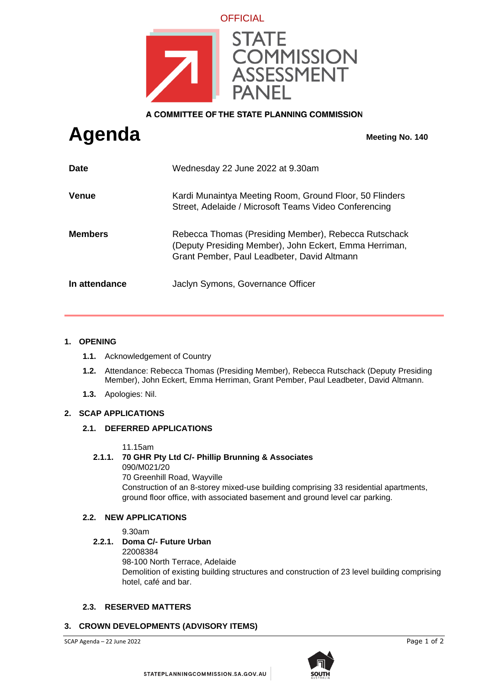

A COMMITTEE OF THE STATE PLANNING COMMISSION

# **Agenda Meeting No. 140**

| <b>Date</b>    | Wednesday 22 June 2022 at 9.30am                                                                                                                              |
|----------------|---------------------------------------------------------------------------------------------------------------------------------------------------------------|
| <b>Venue</b>   | Kardi Munaintya Meeting Room, Ground Floor, 50 Flinders<br>Street, Adelaide / Microsoft Teams Video Conferencing                                              |
| <b>Members</b> | Rebecca Thomas (Presiding Member), Rebecca Rutschack<br>(Deputy Presiding Member), John Eckert, Emma Herriman,<br>Grant Pember, Paul Leadbeter, David Altmann |
| In attendance  | Jaclyn Symons, Governance Officer                                                                                                                             |

### **1. OPENING**

- **1.1.** Acknowledgement of Country
- **1.2.** Attendance: Rebecca Thomas (Presiding Member), Rebecca Rutschack (Deputy Presiding Member), John Eckert, Emma Herriman, Grant Pember, Paul Leadbeter, David Altmann.
- **1.3.** Apologies: Nil.

#### **2. SCAP APPLICATIONS**

#### **2.1. DEFERRED APPLICATIONS**

11.15am

#### **2.1.1. 70 GHR Pty Ltd C/- Phillip Brunning & Associates**

090/M021/20 70 Greenhill Road, Wayville Construction of an 8-storey mixed-use building comprising 33 residential apartments, ground floor office, with associated basement and ground level car parking.

#### **2.2. NEW APPLICATIONS**

9.30am

# **2.2.1. Doma C/- Future Urban**

22008384

98-100 North Terrace, Adelaide

Demolition of existing building structures and construction of 23 level building comprising hotel, café and bar.

# **2.3. RESERVED MATTERS**

# **3. CROWN DEVELOPMENTS (ADVISORY ITEMS)**

SCAP Agenda – 22 June 2022 **Page 1 of 2**